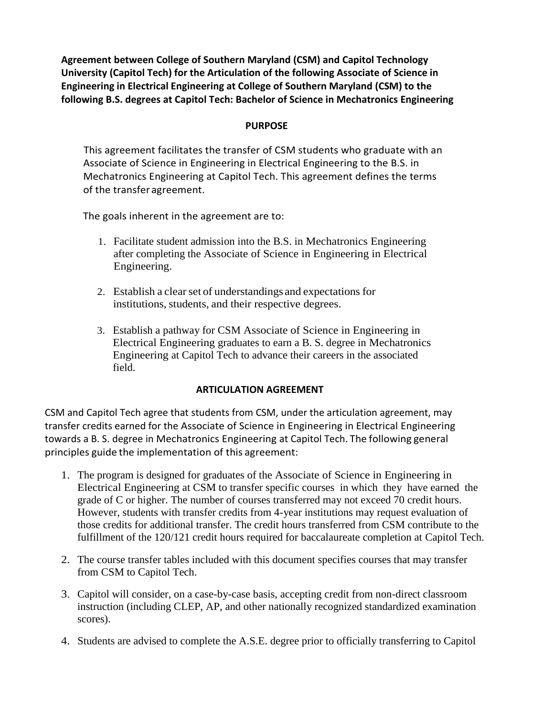**Agreement between College of Southern Maryland (CSM) and Capitol Technology University (Capitol Tech) for the Articulation of the following Associate of Science in Engineering in Electrical Engineering at College of Southern Maryland (CSM) to the following B.S. degrees at Capitol Tech: Bachelor of Science in Mechatronics Engineering**

### **PURPOSE**

This agreement facilitates the transfer of CSM students who graduate with an Associate of Science in Engineering in Electrical Engineering to the B.S. in Mechatronics Engineering at Capitol Tech. This agreement defines the terms of the transferagreement.

The goals inherent in the agreement are to:

- 1. Facilitate student admission into the B.S. in Mechatronics Engineering after completing the Associate of Science in Engineering in Electrical Engineering.
- 2. Establish a clear set of understandings and expectations for institutions, students, and their respective degrees.
- 3. Establish a pathway for CSM Associate of Science in Engineering in Electrical Engineering graduates to earn a B. S. degree in Mechatronics Engineering at Capitol Tech to advance their careers in the associated field.

### **ARTICULATION AGREEMENT**

CSM and Capitol Tech agree that students from CSM, under the articulation agreement, may transfer credits earned for the Associate of Science in Engineering in Electrical Engineering towards a B. S. degree in Mechatronics Engineering at Capitol Tech. The following general principles guide the implementation of this agreement:

- 1. The program is designed for graduates of the Associate of Science in Engineering in Electrical Engineering at CSM to transfer specific courses in which they have earned the grade of C or higher. The number of courses transferred may not exceed 70 credit hours. However, students with transfer credits from 4-year institutions may request evaluation of those credits for additional transfer. The credit hours transferred from CSM contribute to the fulfillment of the 120/121 credit hours required for baccalaureate completion at Capitol Tech.
- 2. The course transfer tables included with this document specifies courses that may transfer from CSM to Capitol Tech.
- 3. Capitol will consider, on a case-by-case basis, accepting credit from non-direct classroom instruction (including CLEP, AP, and other nationally recognized standardized examination scores).
- 4. Students are advised to complete the A.S.E. degree prior to officially transferring to Capitol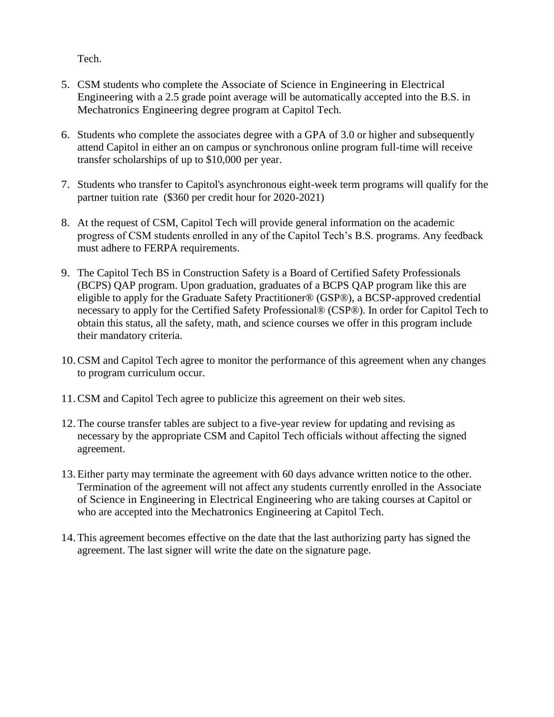Tech.

- 5. CSM students who complete the Associate of Science in Engineering in Electrical Engineering with a 2.5 grade point average will be automatically accepted into the B.S. in Mechatronics Engineering degree program at Capitol Tech.
- 6. Students who complete the associates degree with a GPA of 3.0 or higher and subsequently attend Capitol in either an on campus or synchronous online program full-time will receive transfer scholarships of up to \$10,000 per year.
- 7. Students who transfer to Capitol's asynchronous eight-week term programs will qualify for the partner tuition rate (\$360 per credit hour for 2020-2021)
- 8. At the request of CSM, Capitol Tech will provide general information on the academic progress of CSM students enrolled in any of the Capitol Tech's B.S. programs. Any feedback must adhere to FERPA requirements.
- 9. The Capitol Tech BS in Construction Safety is a Board of Certified Safety Professionals (BCPS) QAP program. Upon graduation, graduates of a BCPS QAP program like this are eligible to apply for the Graduate Safety Practitioner® (GSP®), a BCSP-approved credential necessary to apply for the Certified Safety Professional® (CSP®). In order for Capitol Tech to obtain this status, all the safety, math, and science courses we offer in this program include their mandatory criteria.
- 10.CSM and Capitol Tech agree to monitor the performance of this agreement when any changes to program curriculum occur.
- 11.CSM and Capitol Tech agree to publicize this agreement on their web sites.
- 12.The course transfer tables are subject to a five-year review for updating and revising as necessary by the appropriate CSM and Capitol Tech officials without affecting the signed agreement.
- 13.Either party may terminate the agreement with 60 days advance written notice to the other. Termination of the agreement will not affect any students currently enrolled in the Associate of Science in Engineering in Electrical Engineering who are taking courses at Capitol or who are accepted into the Mechatronics Engineering at Capitol Tech.
- 14.This agreement becomes effective on the date that the last authorizing party has signed the agreement. The last signer will write the date on the signature page.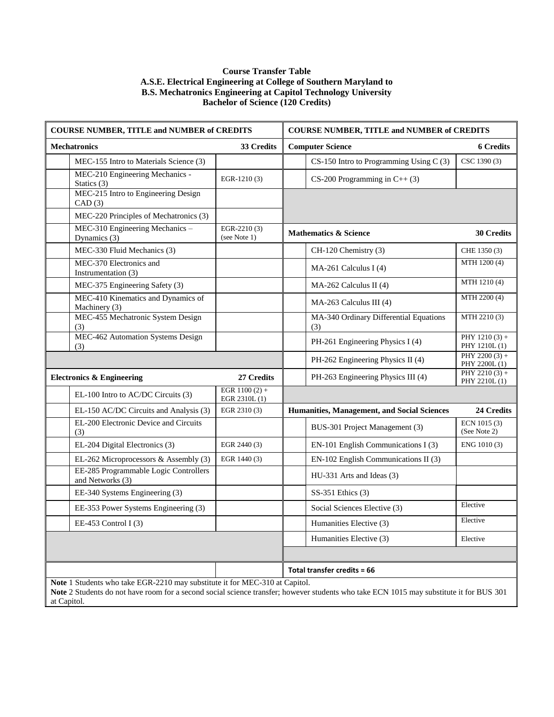#### **Course Transfer Table A.S.E. Electrical Engineering at College of Southern Maryland to B.S. Mechatronics Engineering at Capitol Technology University Bachelor of Science (120 Credits)**

| <b>COURSE NUMBER, TITLE and NUMBER of CREDITS</b>                                                                                                                                                                                     |                                  | <b>COURSE NUMBER, TITLE and NUMBER of CREDITS</b> |                                               |                                   |
|---------------------------------------------------------------------------------------------------------------------------------------------------------------------------------------------------------------------------------------|----------------------------------|---------------------------------------------------|-----------------------------------------------|-----------------------------------|
| <b>Mechatronics</b>                                                                                                                                                                                                                   | 33 Credits                       |                                                   | <b>Computer Science</b>                       | <b>6 Credits</b>                  |
| MEC-155 Intro to Materials Science (3)                                                                                                                                                                                                |                                  |                                                   | CS-150 Intro to Programming Using C (3)       | CSC 1390 (3)                      |
| MEC-210 Engineering Mechanics -<br>Statics (3)                                                                                                                                                                                        | EGR-1210(3)                      |                                                   | CS-200 Programming in $C++$ (3)               |                                   |
| MEC-215 Intro to Engineering Design<br>CAD(3)                                                                                                                                                                                         |                                  |                                                   |                                               |                                   |
| MEC-220 Principles of Mechatronics (3)                                                                                                                                                                                                |                                  |                                                   |                                               |                                   |
| MEC-310 Engineering Mechanics -<br>Dynamics (3)                                                                                                                                                                                       | EGR-2210 (3)<br>(see Note 1)     |                                                   | <b>Mathematics &amp; Science</b>              | <b>30 Credits</b>                 |
| MEC-330 Fluid Mechanics (3)                                                                                                                                                                                                           |                                  |                                                   | CH-120 Chemistry (3)                          | CHE 1350 (3)                      |
| MEC-370 Electronics and<br>Instrumentation (3)                                                                                                                                                                                        |                                  |                                                   | MA-261 Calculus I (4)                         | MTH 1200 (4)                      |
| MEC-375 Engineering Safety (3)                                                                                                                                                                                                        |                                  |                                                   | $MA-262$ Calculus II (4)                      | MTH 1210 (4)                      |
| MEC-410 Kinematics and Dynamics of<br>Machinery (3)                                                                                                                                                                                   |                                  |                                                   | MA-263 Calculus III (4)                       | MTH 2200 (4)                      |
| MEC-455 Mechatronic System Design<br>(3)                                                                                                                                                                                              |                                  |                                                   | MA-340 Ordinary Differential Equations<br>(3) | MTH 2210 (3)                      |
| MEC-462 Automation Systems Design<br>(3)                                                                                                                                                                                              |                                  |                                                   | PH-261 Engineering Physics I (4)              | PHY $1210(3) +$<br>PHY 1210L(1)   |
|                                                                                                                                                                                                                                       |                                  |                                                   | PH-262 Engineering Physics II (4)             | PHY 2200 $(3)$ +<br>PHY 2200L (1) |
| <b>Electronics &amp; Engineering</b>                                                                                                                                                                                                  | 27 Credits                       |                                                   | PH-263 Engineering Physics III (4)            | PHY 2210 $(3)$ +<br>PHY 2210L (1) |
| EL-100 Intro to AC/DC Circuits (3)                                                                                                                                                                                                    | EGR $1100(2) +$<br>EGR 2310L (1) |                                                   |                                               |                                   |
| EL-150 AC/DC Circuits and Analysis (3)                                                                                                                                                                                                | EGR 2310 (3)                     |                                                   | Humanities, Management, and Social Sciences   | 24 Credits                        |
| EL-200 Electronic Device and Circuits<br>(3)                                                                                                                                                                                          |                                  |                                                   | BUS-301 Project Management (3)                | ECN 1015 (3)<br>(See Note 2)      |
| EL-204 Digital Electronics (3)                                                                                                                                                                                                        | EGR 2440 (3)                     |                                                   | EN-101 English Communications I (3)           | ENG 1010 (3)                      |
| EL-262 Microprocessors & Assembly (3)                                                                                                                                                                                                 | EGR 1440 (3)                     |                                                   | EN-102 English Communications II (3)          |                                   |
| EE-285 Programmable Logic Controllers<br>and Networks (3)                                                                                                                                                                             |                                  |                                                   | HU-331 Arts and Ideas (3)                     |                                   |
| EE-340 Systems Engineering (3)                                                                                                                                                                                                        |                                  |                                                   | $SS-351$ Ethics $(3)$                         |                                   |
| EE-353 Power Systems Engineering (3)                                                                                                                                                                                                  |                                  |                                                   | Social Sciences Elective (3)                  | Elective                          |
| EE-453 Control $I(3)$                                                                                                                                                                                                                 |                                  |                                                   | Humanities Elective (3)                       | Elective                          |
|                                                                                                                                                                                                                                       |                                  |                                                   | Humanities Elective (3)                       | Elective                          |
|                                                                                                                                                                                                                                       |                                  |                                                   |                                               |                                   |
|                                                                                                                                                                                                                                       |                                  |                                                   | Total transfer credits = 66                   |                                   |
| Note 1 Students who take EGR-2210 may substitute it for MEC-310 at Capitol.<br>Note 2 Students do not have room for a second social science transfer; however students who take ECN 1015 may substitute it for BUS 301<br>at Capitol. |                                  |                                                   |                                               |                                   |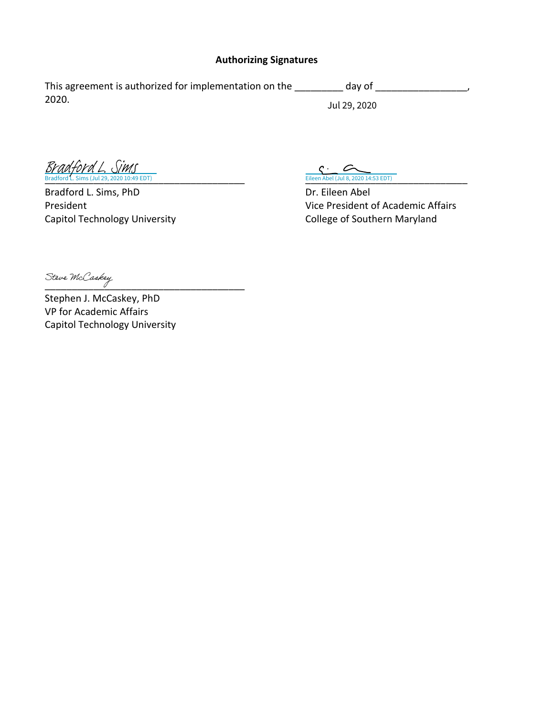### **Authorizing Signatures**

This agreement is authorized for implementation on the \_\_\_\_\_\_\_\_ day of \_\_\_\_\_\_\_\_\_\_\_\_\_\_\_, 2020. Jul 29, 2020

 $\frac{C \cdot C}{\text{Eileen Abel (Jul 8, 2020 14:53 EDT)}}$ <br>[Bradford L. Sims](https://na2.documents.adobe.com/verifier?tx=CBJCHBCAABAACTJor6156W9XvaQxVUKzbKjyvXhbqi4u) (Jul 29, 2020 10:49 EDT)

Bradford L. Sims, PhD Dr. Eileen Abel

President **President President President** of Academic Affairs Capitol Technology University Capitol Technology University College of Southern Maryland

Steve McCaskey

Stephen J. McCaskey, PhD VP for Academic Affairs Capitol Technology University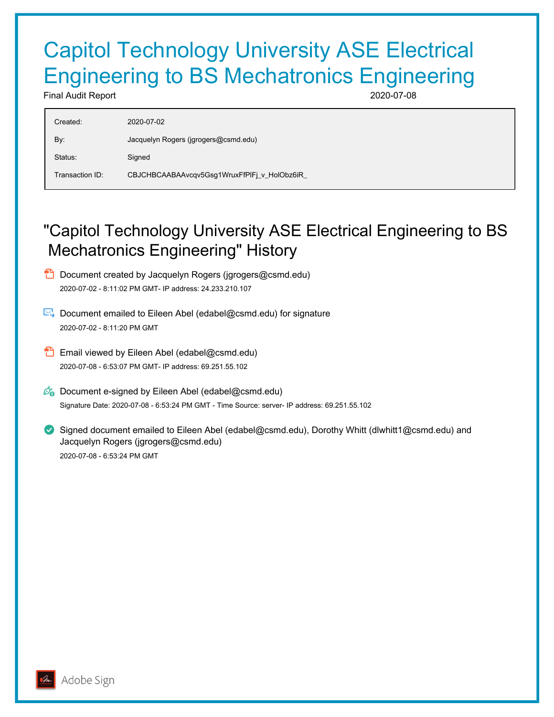# Capitol Technology University ASE Electrical Engineering to BS Mechatronics Engineering

Final Audit Report 2020-07-08

| Created:        | 2020-07-02                                   |
|-----------------|----------------------------------------------|
| By:             | Jacquelyn Rogers (jgrogers@csmd.edu)         |
| Status:         | Signed                                       |
| Transaction ID: | CBJCHBCAABAAvcqv5Gsg1WruxFfPlFj_v_HolObz6iR_ |
|                 |                                              |

## "Capitol Technology University ASE Electrical Engineering to BS Mechatronics Engineering" History

- **D** Document created by Jacquelyn Rogers (jgrogers@csmd.edu) 2020-07-02 - 8:11:02 PM GMT- IP address: 24.233.210.107
- Document emailed to Eileen Abel (edabel@csmd.edu) for signature 2020-07-02 - 8:11:20 PM GMT
- **Email viewed by Eileen Abel (edabel@csmd.edu)** 2020-07-08 - 6:53:07 PM GMT- IP address: 69.251.55.102
- $\mathbb{Z}_{\bullet}$  Document e-signed by Eileen Abel (edabel@csmd.edu) Signature Date: 2020-07-08 - 6:53:24 PM GMT - Time Source: server- IP address: 69.251.55.102
- Signed document emailed to Eileen Abel (edabel@csmd.edu), Dorothy Whitt (dlwhitt1@csmd.edu) and Jacquelyn Rogers (jgrogers@csmd.edu) 2020-07-08 - 6:53:24 PM GMT